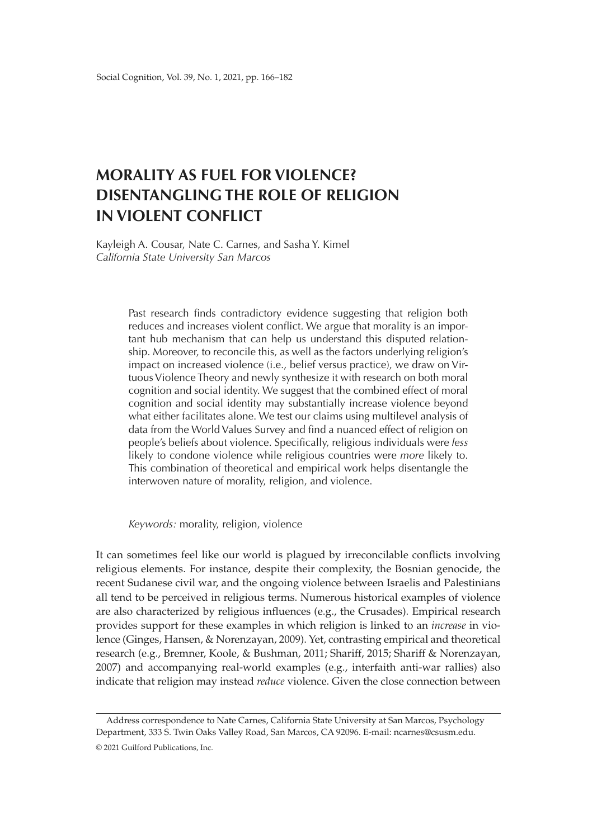# **MORALITY AS FUEL FOR VIOLENCE? DISENTANGLING THE ROLE OF RELIGION IN VIOLENT CONFLICT**

Kayleigh A. Cousar, Nate C. Carnes, and Sasha Y. Kimel *California State University San Marcos* 

> Past research finds contradictory evidence suggesting that religion both reduces and increases violent conflict. We argue that morality is an important hub mechanism that can help us understand this disputed relationship. Moreover, to reconcile this, as well as the factors underlying religion's impact on increased violence (i.e., belief versus practice), we draw on Virtuous Violence Theory and newly synthesize it with research on both moral cognition and social identity. We suggest that the combined effect of moral cognition and social identity may substantially increase violence beyond what either facilitates alone. We test our claims using multilevel analysis of data from the World Values Survey and find a nuanced effect of religion on people's beliefs about violence. Specifically, religious individuals were *less* likely to condone violence while religious countries were *more* likely to. This combination of theoretical and empirical work helps disentangle the interwoven nature of morality, religion, and violence.

*Keywords:* morality, religion, violence

It can sometimes feel like our world is plagued by irreconcilable conflicts involving religious elements. For instance, despite their complexity, the Bosnian genocide, the recent Sudanese civil war, and the ongoing violence between Israelis and Palestinians all tend to be perceived in religious terms. Numerous historical examples of violence are also characterized by religious influences (e.g., the Crusades). Empirical research provides support for these examples in which religion is linked to an *increase* in violence (Ginges, Hansen, & Norenzayan, 2009). Yet, contrasting empirical and theoretical research (e.g., Bremner, Koole, & Bushman, 2011; Shariff, 2015; Shariff & Norenzayan, 2007) and accompanying real-world examples (e.g., interfaith anti-war rallies) also indicate that religion may instead *reduce* violence. Given the close connection between

Address correspondence to Nate Carnes, California State University at San Marcos, Psychology Department, 333 S. Twin Oaks Valley Road, San Marcos, CA 92096. E-mail: [ncarnes@csusm.edu](mailto:ncarnes@csusm.edu%3CEND).

<sup>© 2021</sup> Guilford Publications, Inc.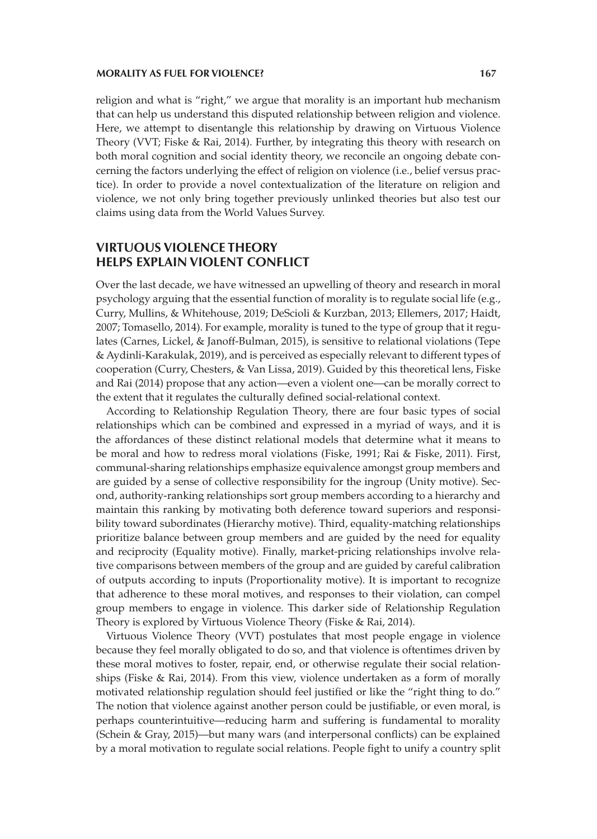religion and what is "right," we argue that morality is an important hub mechanism that can help us understand this disputed relationship between religion and violence. Here, we attempt to disentangle this relationship by drawing on Virtuous Violence Theory (VVT; Fiske & Rai, 2014). Further, by integrating this theory with research on both moral cognition and social identity theory, we reconcile an ongoing debate concerning the factors underlying the effect of religion on violence (i.e., belief versus practice). In order to provide a novel contextualization of the literature on religion and violence, we not only bring together previously unlinked theories but also test our claims using data from the World Values Survey.

# **VIRTUOUS VIOLENCE THEORY HELPS EXPLAIN VIOLENT CONFLICT**

Over the last decade, we have witnessed an upwelling of theory and research in moral psychology arguing that the essential function of morality is to regulate social life (e.g., Curry, Mullins, & Whitehouse, 2019; DeScioli & Kurzban, 2013; Ellemers, 2017; Haidt, 2007; Tomasello, 2014). For example, morality is tuned to the type of group that it regulates (Carnes, Lickel, & Janoff-Bulman, 2015), is sensitive to relational violations (Tepe & Aydinli-Karakulak, 2019), and is perceived as especially relevant to different types of cooperation (Curry, Chesters, & Van Lissa, 2019). Guided by this theoretical lens, Fiske and Rai (2014) propose that any action—even a violent one—can be morally correct to the extent that it regulates the culturally defined social-relational context.

According to Relationship Regulation Theory, there are four basic types of social relationships which can be combined and expressed in a myriad of ways, and it is the affordances of these distinct relational models that determine what it means to be moral and how to redress moral violations (Fiske, 1991; Rai & Fiske, 2011). First, communal-sharing relationships emphasize equivalence amongst group members and are guided by a sense of collective responsibility for the ingroup (Unity motive). Second, authority-ranking relationships sort group members according to a hierarchy and maintain this ranking by motivating both deference toward superiors and responsibility toward subordinates (Hierarchy motive). Third, equality-matching relationships prioritize balance between group members and are guided by the need for equality and reciprocity (Equality motive). Finally, market-pricing relationships involve relative comparisons between members of the group and are guided by careful calibration of outputs according to inputs (Proportionality motive). It is important to recognize that adherence to these moral motives, and responses to their violation, can compel group members to engage in violence. This darker side of Relationship Regulation Theory is explored by Virtuous Violence Theory (Fiske & Rai, 2014).

Virtuous Violence Theory (VVT) postulates that most people engage in violence because they feel morally obligated to do so, and that violence is oftentimes driven by these moral motives to foster, repair, end, or otherwise regulate their social relationships (Fiske & Rai, 2014). From this view, violence undertaken as a form of morally motivated relationship regulation should feel justified or like the "right thing to do." The notion that violence against another person could be justifiable, or even moral, is perhaps counterintuitive—reducing harm and suffering is fundamental to morality (Schein & Gray, 2015)—but many wars (and interpersonal conflicts) can be explained by a moral motivation to regulate social relations. People fight to unify a country split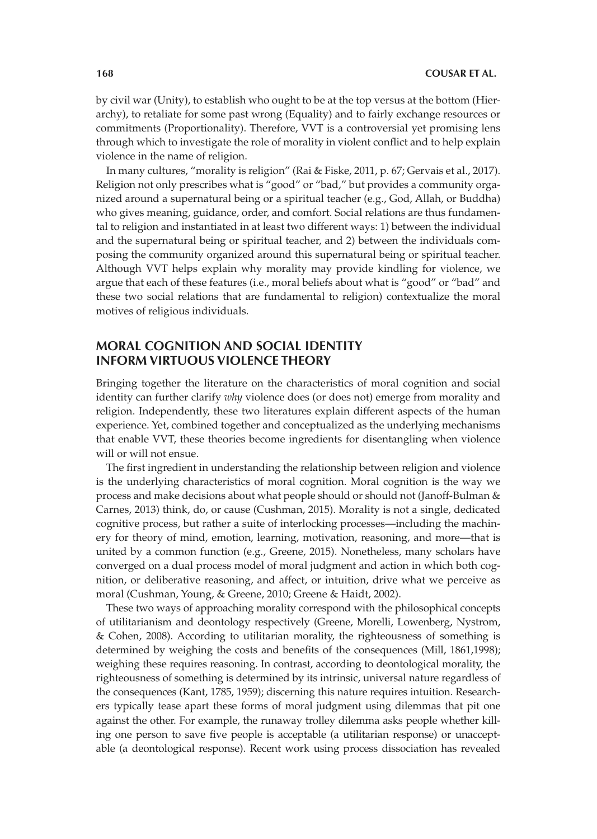by civil war (Unity), to establish who ought to be at the top versus at the bottom (Hierarchy), to retaliate for some past wrong (Equality) and to fairly exchange resources or commitments (Proportionality). Therefore, VVT is a controversial yet promising lens through which to investigate the role of morality in violent conflict and to help explain violence in the name of religion.

In many cultures, "morality is religion" (Rai & Fiske, 2011, p. 67; Gervais et al., 2017). Religion not only prescribes what is "good" or "bad," but provides a community organized around a supernatural being or a spiritual teacher (e.g., God, Allah, or Buddha) who gives meaning, guidance, order, and comfort. Social relations are thus fundamental to religion and instantiated in at least two different ways: 1) between the individual and the supernatural being or spiritual teacher, and 2) between the individuals composing the community organized around this supernatural being or spiritual teacher. Although VVT helps explain why morality may provide kindling for violence, we argue that each of these features (i.e., moral beliefs about what is "good" or "bad" and these two social relations that are fundamental to religion) contextualize the moral motives of religious individuals.

# **MORAL COGNITION AND SOCIAL IDENTITY INFORM VIRTUOUS VIOLENCE THEORY**

Bringing together the literature on the characteristics of moral cognition and social identity can further clarify *why* violence does (or does not) emerge from morality and religion. Independently, these two literatures explain different aspects of the human experience. Yet, combined together and conceptualized as the underlying mechanisms that enable VVT, these theories become ingredients for disentangling when violence will or will not ensue.

The first ingredient in understanding the relationship between religion and violence is the underlying characteristics of moral cognition. Moral cognition is the way we process and make decisions about what people should or should not (Janoff-Bulman & Carnes, 2013) think, do, or cause (Cushman, 2015). Morality is not a single, dedicated cognitive process, but rather a suite of interlocking processes—including the machinery for theory of mind, emotion, learning, motivation, reasoning, and more—that is united by a common function (e.g., Greene, 2015). Nonetheless, many scholars have converged on a dual process model of moral judgment and action in which both cognition, or deliberative reasoning, and affect, or intuition, drive what we perceive as moral (Cushman, Young, & Greene, 2010; Greene & Haidt, 2002).

These two ways of approaching morality correspond with the philosophical concepts of utilitarianism and deontology respectively (Greene, Morelli, Lowenberg, Nystrom, & Cohen, 2008). According to utilitarian morality, the righteousness of something is determined by weighing the costs and benefits of the consequences (Mill, 1861,1998); weighing these requires reasoning. In contrast, according to deontological morality, the righteousness of something is determined by its intrinsic, universal nature regardless of the consequences (Kant, 1785, 1959); discerning this nature requires intuition. Researchers typically tease apart these forms of moral judgment using dilemmas that pit one against the other. For example, the runaway trolley dilemma asks people whether killing one person to save five people is acceptable (a utilitarian response) or unacceptable (a deontological response). Recent work using process dissociation has revealed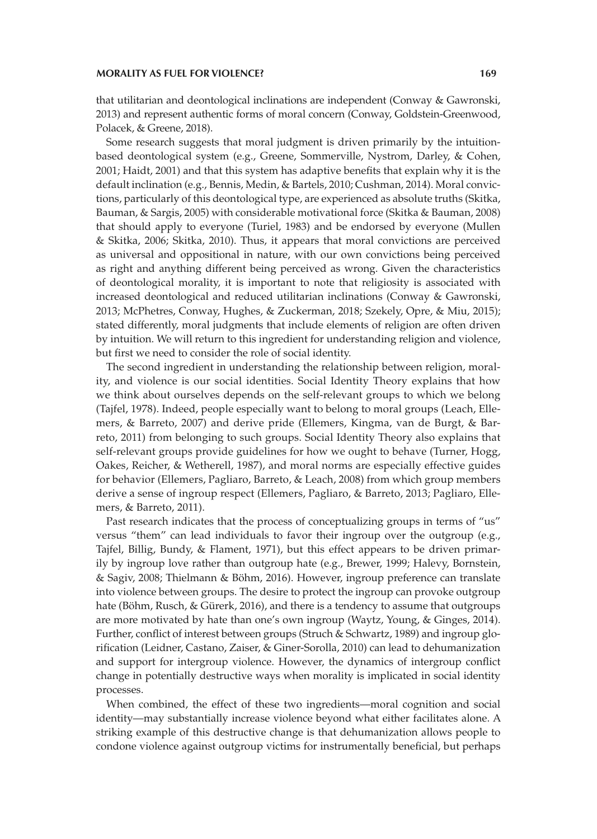that utilitarian and deontological inclinations are independent (Conway & Gawronski, 2013) and represent authentic forms of moral concern (Conway, Goldstein-Greenwood, Polacek, & Greene, 2018).

Some research suggests that moral judgment is driven primarily by the intuitionbased deontological system (e.g., Greene, Sommerville, Nystrom, Darley, & Cohen, 2001; Haidt, 2001) and that this system has adaptive benefits that explain why it is the default inclination (e.g., Bennis, Medin, & Bartels, 2010; Cushman, 2014). Moral convictions, particularly of this deontological type, are experienced as absolute truths (Skitka, Bauman, & Sargis, 2005) with considerable motivational force (Skitka & Bauman, 2008) that should apply to everyone (Turiel, 1983) and be endorsed by everyone (Mullen & Skitka, 2006; Skitka, 2010). Thus, it appears that moral convictions are perceived as universal and oppositional in nature, with our own convictions being perceived as right and anything different being perceived as wrong. Given the characteristics of deontological morality, it is important to note that religiosity is associated with increased deontological and reduced utilitarian inclinations (Conway & Gawronski, 2013; McPhetres, Conway, Hughes, & Zuckerman, 2018; Szekely, Opre, & Miu, 2015); stated differently, moral judgments that include elements of religion are often driven by intuition. We will return to this ingredient for understanding religion and violence, but first we need to consider the role of social identity.

The second ingredient in understanding the relationship between religion, morality, and violence is our social identities. Social Identity Theory explains that how we think about ourselves depends on the self-relevant groups to which we belong (Tajfel, 1978). Indeed, people especially want to belong to moral groups (Leach, Ellemers, & Barreto, 2007) and derive pride (Ellemers, Kingma, van de Burgt, & Barreto, 2011) from belonging to such groups. Social Identity Theory also explains that self-relevant groups provide guidelines for how we ought to behave (Turner, Hogg, Oakes, Reicher, & Wetherell, 1987), and moral norms are especially effective guides for behavior (Ellemers, Pagliaro, Barreto, & Leach, 2008) from which group members derive a sense of ingroup respect (Ellemers, Pagliaro, & Barreto, 2013; Pagliaro, Ellemers, & Barreto, 2011).

Past research indicates that the process of conceptualizing groups in terms of "us" versus "them" can lead individuals to favor their ingroup over the outgroup (e.g., Tajfel, Billig, Bundy, & Flament, 1971), but this effect appears to be driven primarily by ingroup love rather than outgroup hate (e.g., Brewer, 1999; Halevy, Bornstein, & Sagiv, 2008; Thielmann & Böhm, 2016). However, ingroup preference can translate into violence between groups. The desire to protect the ingroup can provoke outgroup hate (Böhm, Rusch, & Gürerk, 2016), and there is a tendency to assume that outgroups are more motivated by hate than one's own ingroup (Waytz, Young, & Ginges, 2014). Further, conflict of interest between groups (Struch & Schwartz, 1989) and ingroup glorification (Leidner, Castano, Zaiser, & Giner-Sorolla, 2010) can lead to dehumanization and support for intergroup violence. However, the dynamics of intergroup conflict change in potentially destructive ways when morality is implicated in social identity processes.

When combined, the effect of these two ingredients—moral cognition and social identity—may substantially increase violence beyond what either facilitates alone. A striking example of this destructive change is that dehumanization allows people to condone violence against outgroup victims for instrumentally beneficial, but perhaps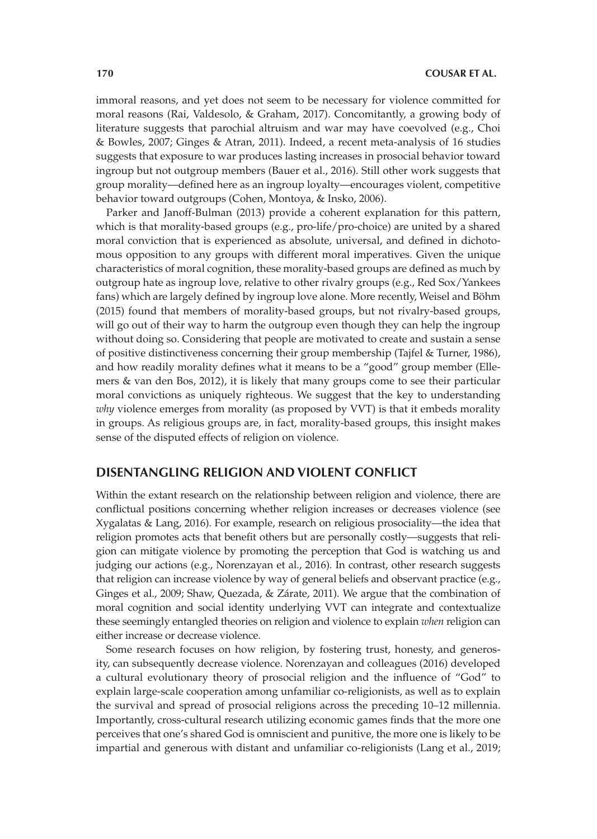immoral reasons, and yet does not seem to be necessary for violence committed for moral reasons (Rai, Valdesolo, & Graham, 2017). Concomitantly, a growing body of literature suggests that parochial altruism and war may have coevolved (e.g., Choi & Bowles, 2007; Ginges & Atran, 2011). Indeed, a recent meta-analysis of 16 studies suggests that exposure to war produces lasting increases in prosocial behavior toward ingroup but not outgroup members (Bauer et al., 2016). Still other work suggests that group morality—defined here as an ingroup loyalty—encourages violent, competitive behavior toward outgroups (Cohen, Montoya, & Insko, 2006).

Parker and Janoff-Bulman (2013) provide a coherent explanation for this pattern, which is that morality-based groups (e.g., pro-life/pro-choice) are united by a shared moral conviction that is experienced as absolute, universal, and defined in dichotomous opposition to any groups with different moral imperatives. Given the unique characteristics of moral cognition, these morality-based groups are defined as much by outgroup hate as ingroup love, relative to other rivalry groups (e.g., Red Sox/Yankees fans) which are largely defined by ingroup love alone. More recently, Weisel and Böhm (2015) found that members of morality-based groups, but not rivalry-based groups, will go out of their way to harm the outgroup even though they can help the ingroup without doing so. Considering that people are motivated to create and sustain a sense of positive distinctiveness concerning their group membership (Tajfel & Turner, 1986), and how readily morality defines what it means to be a "good" group member (Ellemers & van den Bos, 2012), it is likely that many groups come to see their particular moral convictions as uniquely righteous. We suggest that the key to understanding *why* violence emerges from morality (as proposed by VVT) is that it embeds morality in groups. As religious groups are, in fact, morality-based groups, this insight makes sense of the disputed effects of religion on violence.

## **DISENTANGLING RELIGION AND VIOLENT CONFLICT**

Within the extant research on the relationship between religion and violence, there are conflictual positions concerning whether religion increases or decreases violence (see Xygalatas & Lang, 2016). For example, research on religious prosociality—the idea that religion promotes acts that benefit others but are personally costly—suggests that religion can mitigate violence by promoting the perception that God is watching us and judging our actions (e.g., Norenzayan et al., 2016). In contrast, other research suggests that religion can increase violence by way of general beliefs and observant practice (e.g., Ginges et al., 2009; Shaw, Quezada, & Zárate, 2011). We argue that the combination of moral cognition and social identity underlying VVT can integrate and contextualize these seemingly entangled theories on religion and violence to explain *when* religion can either increase or decrease violence.

Some research focuses on how religion, by fostering trust, honesty, and generosity, can subsequently decrease violence. Norenzayan and colleagues (2016) developed a cultural evolutionary theory of prosocial religion and the influence of "God" to explain large-scale cooperation among unfamiliar co-religionists, as well as to explain the survival and spread of prosocial religions across the preceding 10–12 millennia. Importantly, cross-cultural research utilizing economic games finds that the more one perceives that one's shared God is omniscient and punitive, the more one is likely to be impartial and generous with distant and unfamiliar co-religionists (Lang et al., 2019;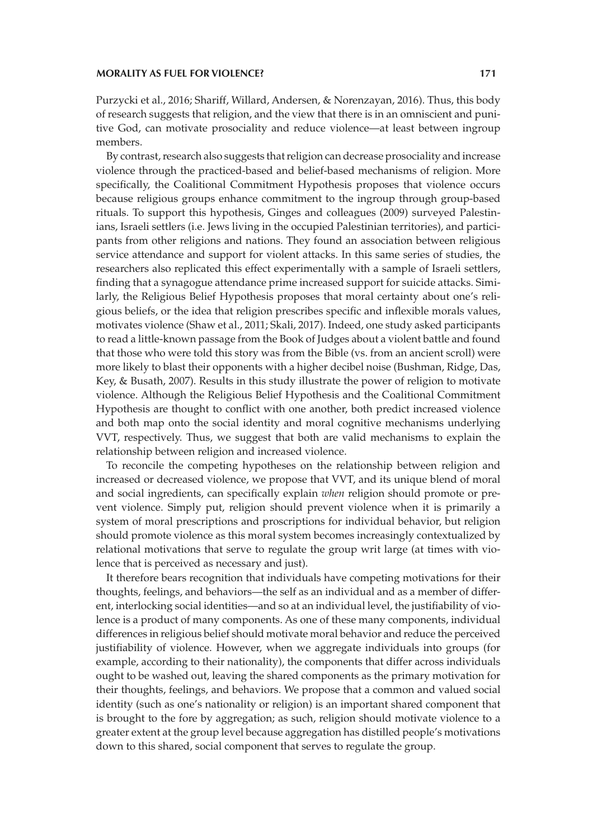Purzycki et al., 2016; Shariff, Willard, Andersen, & Norenzayan, 2016). Thus, this body of research suggests that religion, and the view that there is in an omniscient and punitive God, can motivate prosociality and reduce violence—at least between ingroup members.

By contrast, research also suggests that religion can decrease prosociality and increase violence through the practiced-based and belief-based mechanisms of religion. More specifically, the Coalitional Commitment Hypothesis proposes that violence occurs because religious groups enhance commitment to the ingroup through group-based rituals. To support this hypothesis, Ginges and colleagues (2009) surveyed Palestinians, Israeli settlers (i.e. Jews living in the occupied Palestinian territories), and participants from other religions and nations. They found an association between religious service attendance and support for violent attacks. In this same series of studies, the researchers also replicated this effect experimentally with a sample of Israeli settlers, finding that a synagogue attendance prime increased support for suicide attacks. Similarly, the Religious Belief Hypothesis proposes that moral certainty about one's religious beliefs, or the idea that religion prescribes specific and inflexible morals values, motivates violence (Shaw et al., 2011; Skali, 2017). Indeed, one study asked participants to read a little-known passage from the Book of Judges about a violent battle and found that those who were told this story was from the Bible (vs. from an ancient scroll) were more likely to blast their opponents with a higher decibel noise (Bushman, Ridge, Das, Key, & Busath, 2007). Results in this study illustrate the power of religion to motivate violence. Although the Religious Belief Hypothesis and the Coalitional Commitment Hypothesis are thought to conflict with one another, both predict increased violence and both map onto the social identity and moral cognitive mechanisms underlying VVT, respectively. Thus, we suggest that both are valid mechanisms to explain the relationship between religion and increased violence.

To reconcile the competing hypotheses on the relationship between religion and increased or decreased violence, we propose that VVT, and its unique blend of moral and social ingredients, can specifically explain *when* religion should promote or prevent violence. Simply put, religion should prevent violence when it is primarily a system of moral prescriptions and proscriptions for individual behavior, but religion should promote violence as this moral system becomes increasingly contextualized by relational motivations that serve to regulate the group writ large (at times with violence that is perceived as necessary and just).

It therefore bears recognition that individuals have competing motivations for their thoughts, feelings, and behaviors—the self as an individual and as a member of different, interlocking social identities—and so at an individual level, the justifiability of violence is a product of many components. As one of these many components, individual differences in religious belief should motivate moral behavior and reduce the perceived justifiability of violence. However, when we aggregate individuals into groups (for example, according to their nationality), the components that differ across individuals ought to be washed out, leaving the shared components as the primary motivation for their thoughts, feelings, and behaviors. We propose that a common and valued social identity (such as one's nationality or religion) is an important shared component that is brought to the fore by aggregation; as such, religion should motivate violence to a greater extent at the group level because aggregation has distilled people's motivations down to this shared, social component that serves to regulate the group.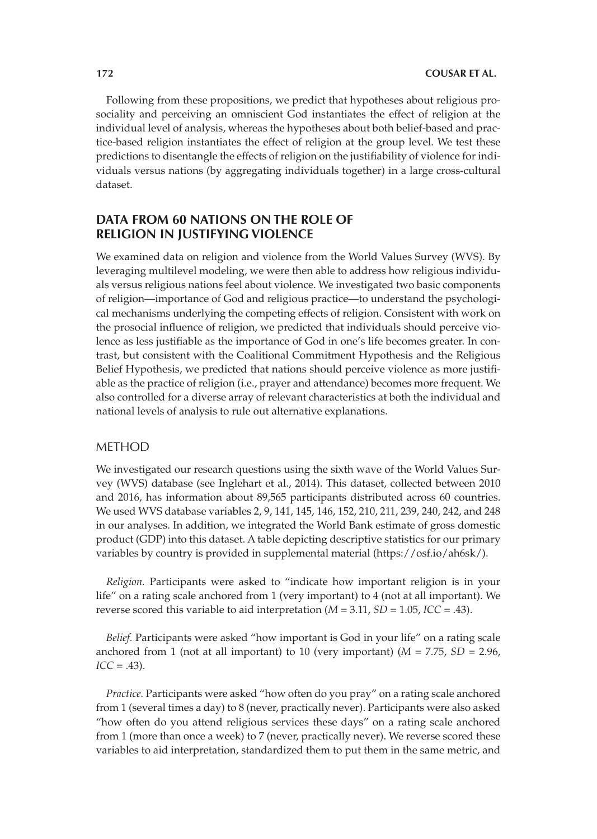Following from these propositions, we predict that hypotheses about religious prosociality and perceiving an omniscient God instantiates the effect of religion at the individual level of analysis, whereas the hypotheses about both belief-based and practice-based religion instantiates the effect of religion at the group level. We test these predictions to disentangle the effects of religion on the justifiability of violence for individuals versus nations (by aggregating individuals together) in a large cross-cultural dataset.

# **DATA FROM 60 NATIONS ON THE ROLE OF RELIGION IN JUSTIFYING VIOLENCE**

We examined data on religion and violence from the World Values Survey (WVS). By leveraging multilevel modeling, we were then able to address how religious individuals versus religious nations feel about violence. We investigated two basic components of religion—importance of God and religious practice—to understand the psychological mechanisms underlying the competing effects of religion. Consistent with work on the prosocial influence of religion, we predicted that individuals should perceive violence as less justifiable as the importance of God in one's life becomes greater. In contrast, but consistent with the Coalitional Commitment Hypothesis and the Religious Belief Hypothesis, we predicted that nations should perceive violence as more justifiable as the practice of religion (i.e., prayer and attendance) becomes more frequent. We also controlled for a diverse array of relevant characteristics at both the individual and national levels of analysis to rule out alternative explanations.

## METHOD

We investigated our research questions using the sixth wave of the World Values Survey (WVS) database (see Inglehart et al., 2014). This dataset, collected between 2010 and 2016, has information about 89,565 participants distributed across 60 countries. We used WVS database variables 2, 9, 141, 145, 146, 152, 210, 211, 239, 240, 242, and 248 in our analyses. In addition, we integrated the World Bank estimate of gross domestic product (GDP) into this dataset. A table depicting descriptive statistics for our primary variables by country is provided in supplemental material (https://osf.io/ah6sk/).

*Religion.* Participants were asked to "indicate how important religion is in your life" on a rating scale anchored from 1 (very important) to 4 (not at all important). We reverse scored this variable to aid interpretation (*M* = 3.11, *SD* = 1.05, *ICC* = .43).

*Belief.* Participants were asked "how important is God in your life" on a rating scale anchored from 1 (not at all important) to 10 (very important) ( $M = 7.75$ ,  $SD = 2.96$ ,  $ICC = .43)$ .

*Practice.* Participants were asked "how often do you pray" on a rating scale anchored from 1 (several times a day) to 8 (never, practically never). Participants were also asked "how often do you attend religious services these days" on a rating scale anchored from 1 (more than once a week) to 7 (never, practically never). We reverse scored these variables to aid interpretation, standardized them to put them in the same metric, and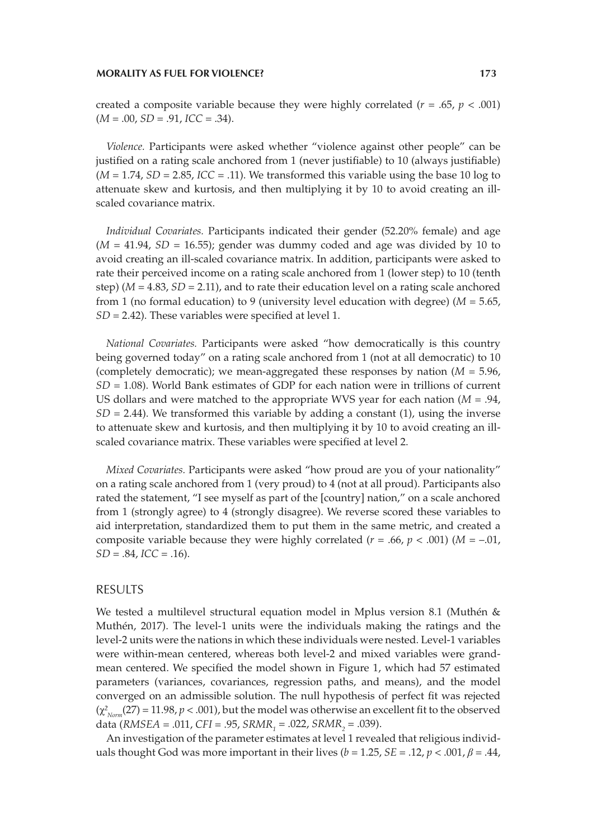created a composite variable because they were highly correlated ( $r = .65$ ,  $p < .001$ )  $(M = .00, SD = .91, ICC = .34).$ 

*Violence.* Participants were asked whether "violence against other people" can be justified on a rating scale anchored from 1 (never justifiable) to 10 (always justifiable)  $(M = 1.74, SD = 2.85, ICC = .11)$ . We transformed this variable using the base 10 log to attenuate skew and kurtosis, and then multiplying it by 10 to avoid creating an illscaled covariance matrix.

*Individual Covariates.* Participants indicated their gender (52.20% female) and age  $(M = 41.94, SD = 16.55)$ ; gender was dummy coded and age was divided by 10 to avoid creating an ill-scaled covariance matrix. In addition, participants were asked to rate their perceived income on a rating scale anchored from 1 (lower step) to 10 (tenth step) ( $M = 4.83$ ,  $SD = 2.11$ ), and to rate their education level on a rating scale anchored from 1 (no formal education) to 9 (university level education with degree) (*M* = 5.65, *SD* = 2.42). These variables were specified at level 1.

*National Covariates.* Participants were asked "how democratically is this country being governed today" on a rating scale anchored from 1 (not at all democratic) to 10 (completely democratic); we mean-aggregated these responses by nation (*M* = 5.96, *SD* = 1.08). World Bank estimates of GDP for each nation were in trillions of current US dollars and were matched to the appropriate WVS year for each nation (*M* = .94,  $SD = 2.44$ ). We transformed this variable by adding a constant  $(1)$ , using the inverse to attenuate skew and kurtosis, and then multiplying it by 10 to avoid creating an illscaled covariance matrix. These variables were specified at level 2.

*Mixed Covariates.* Participants were asked "how proud are you of your nationality" on a rating scale anchored from 1 (very proud) to 4 (not at all proud). Participants also rated the statement, "I see myself as part of the [country] nation," on a scale anchored from 1 (strongly agree) to 4 (strongly disagree). We reverse scored these variables to aid interpretation, standardized them to put them in the same metric, and created a composite variable because they were highly correlated  $(r = .66, p < .001)$  ( $M = -.01$ ,  $SD = .84$ ,  $ICC = .16$ ).

## RESULTS

We tested a multilevel structural equation model in Mplus version 8.1 (Muthén & Muthén, 2017). The level-1 units were the individuals making the ratings and the level-2 units were the nations in which these individuals were nested. Level-1 variables were within-mean centered, whereas both level-2 and mixed variables were grandmean centered. We specified the model shown in Figure 1, which had 57 estimated parameters (variances, covariances, regression paths, and means), and the model converged on an admissible solution. The null hypothesis of perfect fit was rejected  $(\chi^2_{\text{Norm}}(27) = 11.98, p < .001)$ , but the model was otherwise an excellent fit to the observed data (*RMSEA* = .011, *CFI* = .95, *SRMR*<sub>1</sub> = .022, *SRMR*<sub>2</sub> = .039).

An investigation of the parameter estimates at level 1 revealed that religious individuals thought God was more important in their lives ( $b = 1.25$ ,  $SE = .12$ ,  $p < .001$ ,  $\beta = .44$ ,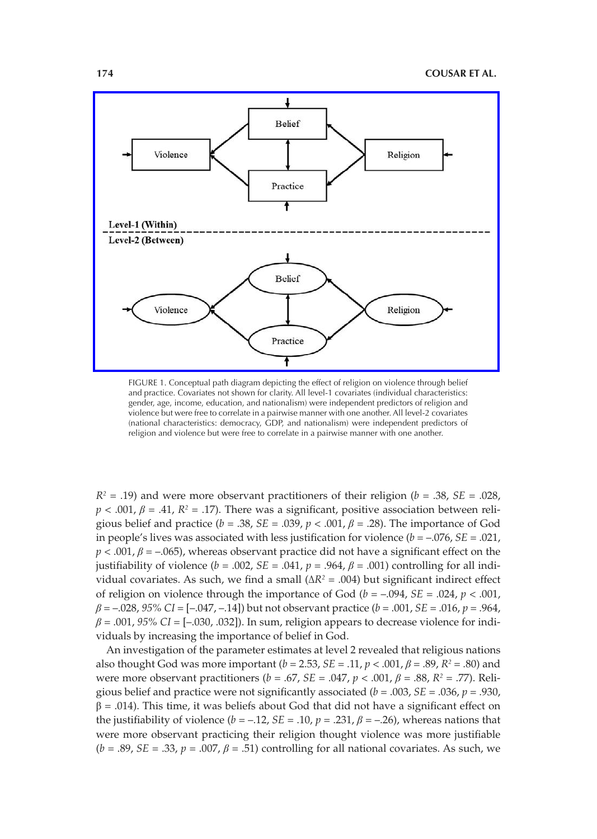

FIGURE 1. Conceptual path diagram depicting the effect of religion on violence through belief and practice. Covariates not shown for clarity. All level-1 covariates (individual characteristics: gender, age, income, education, and nationalism) were independent predictors of religion and violence but were free to correlate in a pairwise manner with one another. All level-2 covariates (national characteristics: democracy, GDP, and nationalism) were independent predictors of religion and violence but were free to correlate in a pairwise manner with one another.

 $R^2 = .19$ ) and were more observant practitioners of their religion ( $b = .38$ , *SE* = .028,  $p < .001$ ,  $\beta = .41$ ,  $R<sup>2</sup> = .17$ ). There was a significant, positive association between religious belief and practice ( $b = .38$ ,  $SE = .039$ ,  $p < .001$ ,  $\beta = .28$ ). The importance of God in people's lives was associated with less justification for violence  $(b = -.076, SE = .021,$  $p < .001$ ,  $\beta = -.065$ ), whereas observant practice did not have a significant effect on the justifiability of violence ( $b = .002$ ,  $SE = .041$ ,  $p = .964$ ,  $\beta = .001$ ) controlling for all individual covariates. As such, we find a small  $(ΔR<sup>2</sup> = .004)$  but significant indirect effect of religion on violence through the importance of God ( $b = -0.094$ ,  $SE = 0.024$ ,  $p < 0.001$ , *β* = –.028, *95% CI* = [–.047, –.14]) but not observant practice (*b* = .001, *SE* = .016, *p* = .964, *β* = .001, *95% CI* = [–.030, .032]). In sum, religion appears to decrease violence for individuals by increasing the importance of belief in God.

An investigation of the parameter estimates at level 2 revealed that religious nations also thought God was more important  $(b = 2.53, SE = .11, p < .001, \beta = .89, R^2 = .80)$  and were more observant practitioners (*b* = .67, *SE* = .047, *p* < .001, *β* = .88, *R2* = .77). Religious belief and practice were not significantly associated ( $b = .003$ ,  $SE = .036$ ,  $p = .930$ ,  $\beta$  = .014). This time, it was beliefs about God that did not have a significant effect on the justifiability of violence  $(b = -12, SE = 0.10, p = .231, \beta = -0.26)$ , whereas nations that were more observant practicing their religion thought violence was more justifiable  $(b = .89, SE = .33, p = .007, \beta = .51)$  controlling for all national covariates. As such, we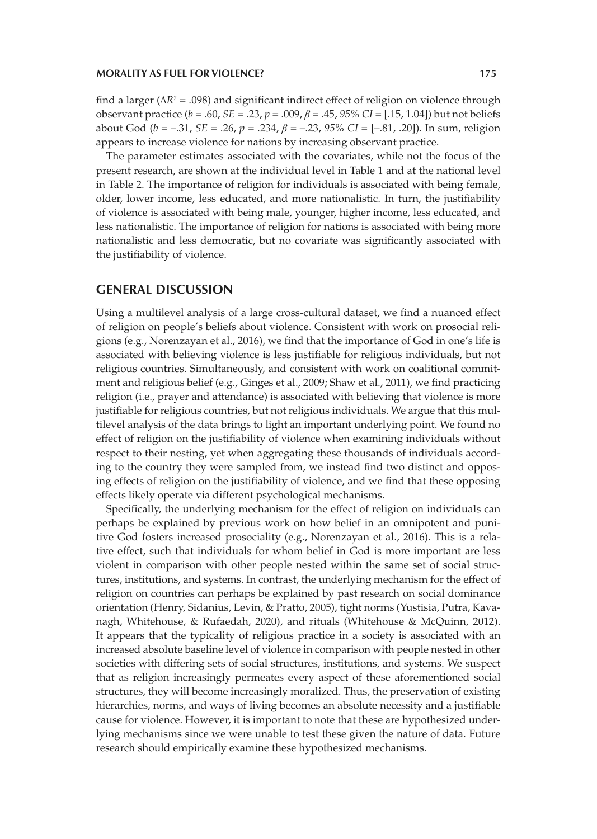find a larger (Δ*R2* = .098) and significant indirect effect of religion on violence through observant practice ( $b = .60$ ,  $SE = .23$ ,  $p = .009$ ,  $\beta = .45$ ,  $95\%$  CI = [.15, 1.04]) but not beliefs about God (*b* = –.31, *SE* = .26, *p* = .234, *β* = –.23, *95% CI* = [–.81, .20]). In sum, religion appears to increase violence for nations by increasing observant practice.

The parameter estimates associated with the covariates, while not the focus of the present research, are shown at the individual level in Table 1 and at the national level in Table 2. The importance of religion for individuals is associated with being female, older, lower income, less educated, and more nationalistic. In turn, the justifiability of violence is associated with being male, younger, higher income, less educated, and less nationalistic. The importance of religion for nations is associated with being more nationalistic and less democratic, but no covariate was significantly associated with the justifiability of violence.

## **GENERAL DISCUSSION**

Using a multilevel analysis of a large cross-cultural dataset, we find a nuanced effect of religion on people's beliefs about violence. Consistent with work on prosocial religions (e.g., Norenzayan et al., 2016), we find that the importance of God in one's life is associated with believing violence is less justifiable for religious individuals, but not religious countries. Simultaneously, and consistent with work on coalitional commitment and religious belief (e.g., Ginges et al., 2009; Shaw et al., 2011), we find practicing religion (i.e., prayer and attendance) is associated with believing that violence is more justifiable for religious countries, but not religious individuals. We argue that this multilevel analysis of the data brings to light an important underlying point. We found no effect of religion on the justifiability of violence when examining individuals without respect to their nesting, yet when aggregating these thousands of individuals according to the country they were sampled from, we instead find two distinct and opposing effects of religion on the justifiability of violence, and we find that these opposing effects likely operate via different psychological mechanisms.

Specifically, the underlying mechanism for the effect of religion on individuals can perhaps be explained by previous work on how belief in an omnipotent and punitive God fosters increased prosociality (e.g., Norenzayan et al., 2016). This is a relative effect, such that individuals for whom belief in God is more important are less violent in comparison with other people nested within the same set of social structures, institutions, and systems. In contrast, the underlying mechanism for the effect of religion on countries can perhaps be explained by past research on social dominance orientation (Henry, Sidanius, Levin, & Pratto, 2005), tight norms (Yustisia, Putra, Kavanagh, Whitehouse, & Rufaedah, 2020), and rituals (Whitehouse & McQuinn, 2012). It appears that the typicality of religious practice in a society is associated with an increased absolute baseline level of violence in comparison with people nested in other societies with differing sets of social structures, institutions, and systems. We suspect that as religion increasingly permeates every aspect of these aforementioned social structures, they will become increasingly moralized. Thus, the preservation of existing hierarchies, norms, and ways of living becomes an absolute necessity and a justifiable cause for violence. However, it is important to note that these are hypothesized underlying mechanisms since we were unable to test these given the nature of data. Future research should empirically examine these hypothesized mechanisms.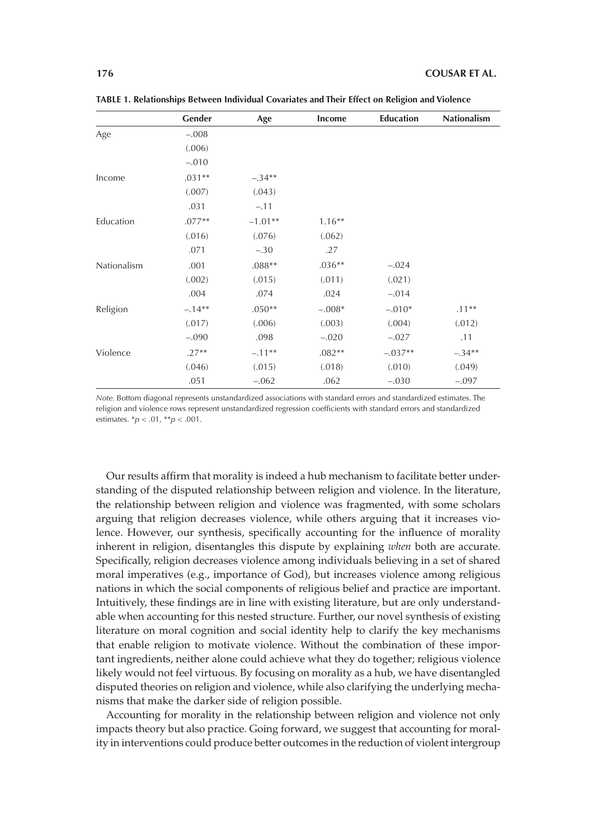|             | Gender   | Age       | Income   | <b>Education</b> | <b>Nationalism</b> |
|-------------|----------|-----------|----------|------------------|--------------------|
| Age         | $-.008$  |           |          |                  |                    |
|             | (.006)   |           |          |                  |                    |
|             | $-.010$  |           |          |                  |                    |
| Income      | $.031**$ | $-.34**$  |          |                  |                    |
|             | (.007)   | (.043)    |          |                  |                    |
|             | .031     | $-.11$    |          |                  |                    |
| Education   | $.077**$ | $-1.01**$ | $1.16**$ |                  |                    |
|             | (.016)   | (.076)    | (.062)   |                  |                    |
|             | .071     | $-.30$    | .27      |                  |                    |
| Nationalism | .001     | $.088**$  | $.036**$ | $-.024$          |                    |
|             | (.002)   | (.015)    | (.011)   | (.021)           |                    |
|             | .004     | .074      | .024     | $-.014$          |                    |
| Religion    | $-.14**$ | $.050**$  | $-.008*$ | $-.010*$         | $.11***$           |
|             | (.017)   | (.006)    | (.003)   | (.004)           | (.012)             |
|             | $-.090$  | .098      | $-.020$  | $-.027$          | .11                |
| Violence    | $.27**$  | $-.11**$  | $.082**$ | $-.037**$        | $-.34**$           |
|             | (.046)   | (.015)    | (.018)   | (.010)           | (.049)             |
|             | .051     | $-.062$   | .062     | $-.030$          | $-.097$            |

**TABLE 1. Relationships Between Individual Covariates and Their Effect on Religion and Violence**

*Note.* Bottom diagonal represents unstandardized associations with standard errors and standardized estimates. The religion and violence rows represent unstandardized regression coefficients with standard errors and standardized estimates. \**p* < .01, \*\**p* < .001.

Our results affirm that morality is indeed a hub mechanism to facilitate better understanding of the disputed relationship between religion and violence. In the literature, the relationship between religion and violence was fragmented, with some scholars arguing that religion decreases violence, while others arguing that it increases violence. However, our synthesis, specifically accounting for the influence of morality inherent in religion, disentangles this dispute by explaining *when* both are accurate. Specifically, religion decreases violence among individuals believing in a set of shared moral imperatives (e.g., importance of God), but increases violence among religious nations in which the social components of religious belief and practice are important. Intuitively, these findings are in line with existing literature, but are only understandable when accounting for this nested structure. Further, our novel synthesis of existing literature on moral cognition and social identity help to clarify the key mechanisms that enable religion to motivate violence. Without the combination of these important ingredients, neither alone could achieve what they do together; religious violence likely would not feel virtuous. By focusing on morality as a hub, we have disentangled disputed theories on religion and violence, while also clarifying the underlying mechanisms that make the darker side of religion possible.

Accounting for morality in the relationship between religion and violence not only impacts theory but also practice. Going forward, we suggest that accounting for morality in interventions could produce better outcomes in the reduction of violent intergroup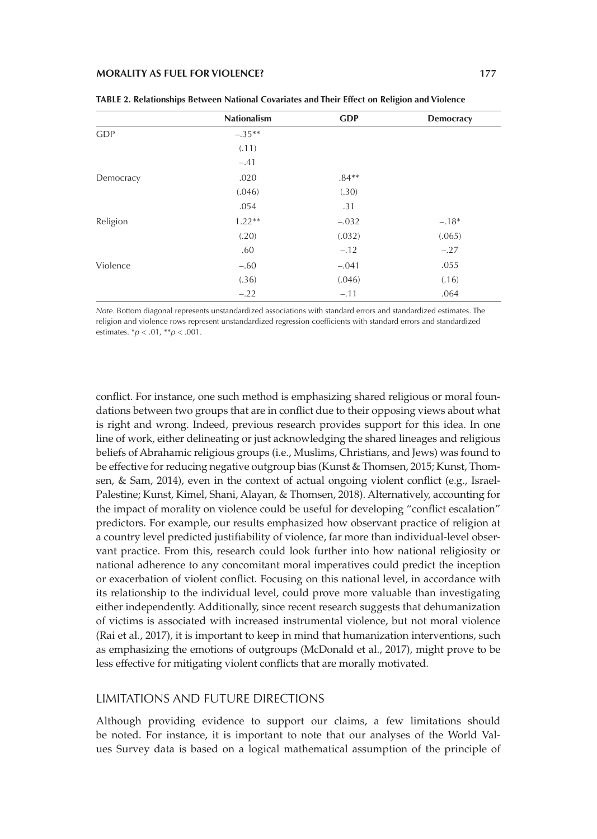|            | <b>Nationalism</b> | <b>GDP</b> | Democracy |
|------------|--------------------|------------|-----------|
| <b>GDP</b> | $-.35**$           |            |           |
|            | (.11)              |            |           |
|            | $-.41$             |            |           |
| Democracy  | .020               | $.84**$    |           |
|            | (.046)             | (.30)      |           |
|            | .054               | .31        |           |
| Religion   | $1.22**$           | $-.032$    | $-.18*$   |
|            | (.20)              | (.032)     | (.065)    |
|            | .60                | $-.12$     | $-.27$    |
| Violence   | $-.60$             | $-.041$    | .055      |
|            | (.36)              | (.046)     | (.16)     |
|            | $-.22$             | $-.11$     | .064      |

| TABLE 2. Relationships Between National Covariates and Their Effect on Religion and Violence |  |  |
|----------------------------------------------------------------------------------------------|--|--|
|----------------------------------------------------------------------------------------------|--|--|

*Note.* Bottom diagonal represents unstandardized associations with standard errors and standardized estimates. The religion and violence rows represent unstandardized regression coefficients with standard errors and standardized estimates. \**p* < .01, \*\**p* < .001.

conflict. For instance, one such method is emphasizing shared religious or moral foundations between two groups that are in conflict due to their opposing views about what is right and wrong. Indeed, previous research provides support for this idea. In one line of work, either delineating or just acknowledging the shared lineages and religious beliefs of Abrahamic religious groups (i.e., Muslims, Christians, and Jews) was found to be effective for reducing negative outgroup bias (Kunst & Thomsen, 2015; Kunst, Thomsen, & Sam, 2014), even in the context of actual ongoing violent conflict (e.g., Israel-Palestine; Kunst, Kimel, Shani, Alayan, & Thomsen, 2018). Alternatively, accounting for the impact of morality on violence could be useful for developing "conflict escalation" predictors. For example, our results emphasized how observant practice of religion at a country level predicted justifiability of violence, far more than individual-level observant practice. From this, research could look further into how national religiosity or national adherence to any concomitant moral imperatives could predict the inception or exacerbation of violent conflict. Focusing on this national level, in accordance with its relationship to the individual level, could prove more valuable than investigating either independently. Additionally, since recent research suggests that dehumanization of victims is associated with increased instrumental violence, but not moral violence (Rai et al., 2017), it is important to keep in mind that humanization interventions, such as emphasizing the emotions of outgroups (McDonald et al., 2017), might prove to be less effective for mitigating violent conflicts that are morally motivated.

## LIMITATIONS AND FUTURE DIRECTIONS

Although providing evidence to support our claims, a few limitations should be noted. For instance, it is important to note that our analyses of the World Values Survey data is based on a logical mathematical assumption of the principle of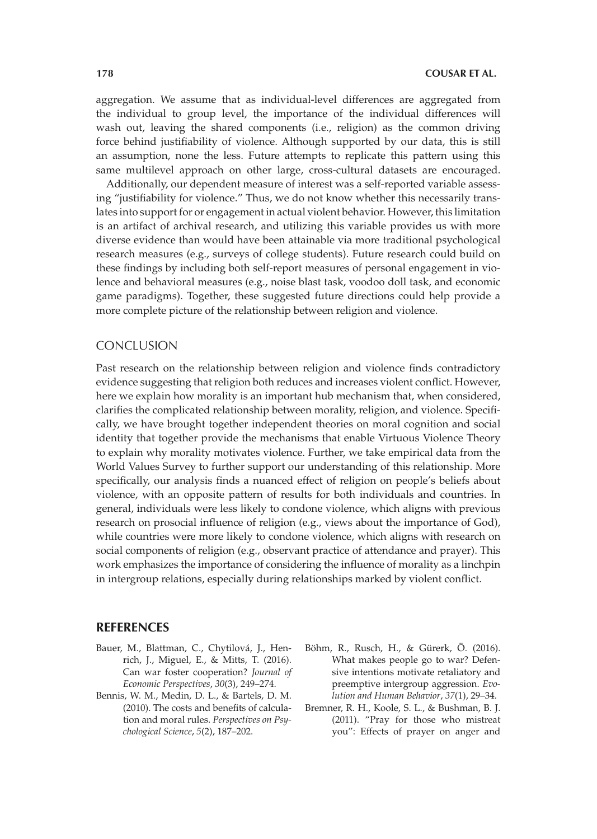aggregation. We assume that as individual-level differences are aggregated from the individual to group level, the importance of the individual differences will wash out, leaving the shared components (i.e., religion) as the common driving force behind justifiability of violence. Although supported by our data, this is still an assumption, none the less. Future attempts to replicate this pattern using this same multilevel approach on other large, cross-cultural datasets are encouraged.

Additionally, our dependent measure of interest was a self-reported variable assessing "justifiability for violence." Thus, we do not know whether this necessarily translates into support for or engagement in actual violent behavior. However, this limitation is an artifact of archival research, and utilizing this variable provides us with more diverse evidence than would have been attainable via more traditional psychological research measures (e.g., surveys of college students). Future research could build on these findings by including both self-report measures of personal engagement in violence and behavioral measures (e.g., noise blast task, voodoo doll task, and economic game paradigms). Together, these suggested future directions could help provide a more complete picture of the relationship between religion and violence.

## **CONCLUSION**

Past research on the relationship between religion and violence finds contradictory evidence suggesting that religion both reduces and increases violent conflict. However, here we explain how morality is an important hub mechanism that, when considered, clarifies the complicated relationship between morality, religion, and violence. Specifically, we have brought together independent theories on moral cognition and social identity that together provide the mechanisms that enable Virtuous Violence Theory to explain why morality motivates violence. Further, we take empirical data from the World Values Survey to further support our understanding of this relationship. More specifically, our analysis finds a nuanced effect of religion on people's beliefs about violence, with an opposite pattern of results for both individuals and countries. In general, individuals were less likely to condone violence, which aligns with previous research on prosocial influence of religion (e.g., views about the importance of God), while countries were more likely to condone violence, which aligns with research on social components of religion (e.g., observant practice of attendance and prayer). This work emphasizes the importance of considering the influence of morality as a linchpin in intergroup relations, especially during relationships marked by violent conflict.

## **REFERENCES**

- Bauer, M., Blattman, C., Chytilová, J., Henrich, J., Miguel, E., & Mitts, T. (2016). Can war foster cooperation? *Journal of Economic Perspectives*, *30*(3), 249–274.
- Bennis, W. M., Medin, D. L., & Bartels, D. M. (2010). The costs and benefits of calculation and moral rules. *Perspectives on Psychological Science*, *5*(2), 187–202.
- Böhm, R., Rusch, H., & Gürerk, Ö. (2016). What makes people go to war? Defensive intentions motivate retaliatory and preemptive intergroup aggression. *Evolution and Human Behavior*, *37*(1), 29–34.
- Bremner, R. H., Koole, S. L., & Bushman, B. J. (2011). "Pray for those who mistreat you": Effects of prayer on anger and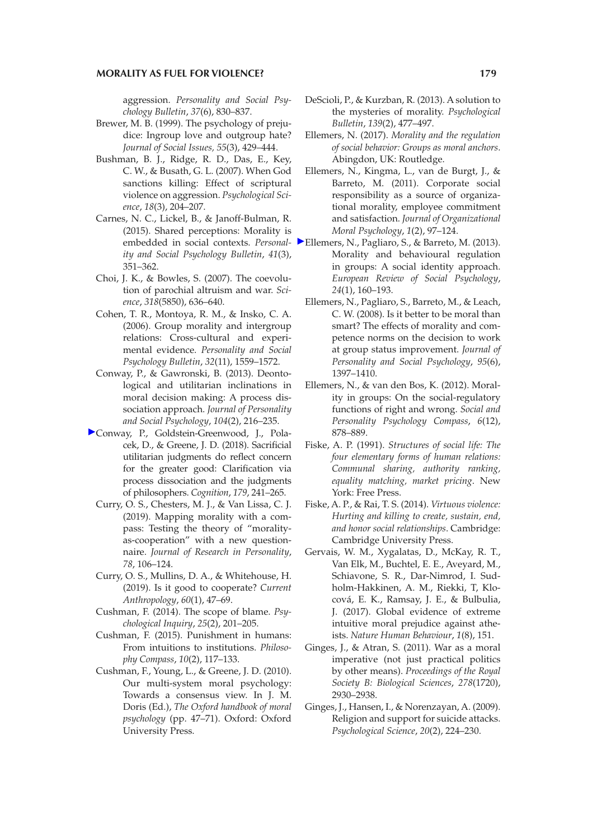aggression. *Personality and Social Psychology Bulletin*, *37*(6), 830–837.

- Brewer, M. B. (1999). The psychology of prejudice: Ingroup love and outgroup hate? *Journal of Social Issues, 55*(3), 429–444.
- Bushman, B. J., Ridge, R. D., Das, E., Key, C. W., & Busath, G. L. (2007). When God sanctions killing: Effect of scriptural violence on aggression. *Psychological Science*, *18*(3), 204–207.
- Carnes, N. C., Lickel, B., & Janoff-Bulman, R. (2015). Shared perceptions: Morality is *ity and Social Psychology Bulletin*, *41*(3), 351–362.
- Choi, J. K., & Bowles, S. (2007). The coevolution of parochial altruism and war. *Science*, *318*(5850), 636–640.
- Cohen, T. R., Montoya, R. M., & Insko, C. A. (2006). Group morality and intergroup relations: Cross-cultural and experimental evidence. *Personality and Social Psychology Bulletin*, *32*(11), 1559–1572.
- Conway, P., & Gawronski, B. (2013). Deontological and utilitarian inclinations in moral decision making: A process dissociation approach. *Journal of Personality and Social Psychology*, *104*(2), 216–235.
- [C](https://guilfordjournals.com/action/showLinks?crossref=10.1016%2Fj.cognition.2018.04.018&citationId=p_11)onway, P., Goldstein-Greenwood, J., Polacek, D., & Greene, J. D. (2018). Sacrificial utilitarian judgments do reflect concern for the greater good: Clarification via process dissociation and the judgments of philosophers. *Cognition*, *179*, 241–265.
	- Curry, O. S., Chesters, M. J., & Van Lissa, C. J. (2019). Mapping morality with a compass: Testing the theory of "moralityas-cooperation" with a new questionnaire. *Journal of Research in Personality*, *78*, 106–124.
	- Curry, O. S., Mullins, D. A., & Whitehouse, H. (2019). Is it good to cooperate? *Current Anthropology*, *60*(1), 47–69.
	- Cushman, F. (2014). The scope of blame. *Psychological Inquiry*, *25*(2), 201–205.
	- Cushman, F. (2015). Punishment in humans: From intuitions to institutions. *Philosophy Compass*, *10*(2), 117–133.
	- Cushman, F., Young, L., & Greene, J. D. (2010). Our multi-system moral psychology: Towards a consensus view. In J. M. Doris (Ed.), *The Oxford handbook of moral psychology* (pp. 47–71). Oxford: Oxford University Press.
- DeScioli, P., & Kurzban, R. (2013). A solution to the mysteries of morality. *Psychological Bulletin*, *139*(2), 477–497.
- Ellemers, N. (2017). *Morality and the regulation of social behavior: Groups as moral anchors*. Abingdon, UK: Routledge.
- Ellemers, N., Kingma, L., van de Burgt, J., & Barreto, M. (2011). Corporate social responsibility as a source of organizational morality, employee commitment and satisfaction. *Journal of Organizational Moral Psychology*, *1*(2), 97–124.
- embedded in social contexts. *Personal-*[E](https://guilfordjournals.com/action/showLinks?crossref=10.1080%2F10463283.2013.841490&citationId=p_20)llemers, N., Pagliaro, S., & Barreto, M. (2013). Morality and behavioural regulation in groups: A social identity approach. *European Review of Social Psychology*, *24*(1), 160–193.
	- Ellemers, N., Pagliaro, S., Barreto, M., & Leach, C. W. (2008). Is it better to be moral than smart? The effects of morality and competence norms on the decision to work at group status improvement. *Journal of Personality and Social Psychology*, *95*(6), 1397–1410.
	- Ellemers, N., & van den Bos, K. (2012). Morality in groups: On the social‐regulatory functions of right and wrong. *Social and Personality Psychology Compass*, *6*(12), 878–889.
	- Fiske, A. P. (1991). *Structures of social life: The four elementary forms of human relations: Communal sharing, authority ranking, equality matching, market pricing*. New York: Free Press.
	- Fiske, A. P., & Rai, T. S. (2014). *Virtuous violence: Hurting and killing to create, sustain, end, and honor social relationships*. Cambridge: Cambridge University Press.
	- Gervais, W. M., Xygalatas, D., McKay, R. T., Van Elk, M., Buchtel, E. E., Aveyard, M., Schiavone, S. R., Dar-Nimrod, I. Sudholm-Hakkinen, A. M., Riekki, T, Klocová, E. K., Ramsay, J. E., & Bulbulia, J. (2017). Global evidence of extreme intuitive moral prejudice against atheists. *Nature Human Behaviour*, *1*(8), 151.
	- Ginges, J., & Atran, S. (2011). War as a moral imperative (not just practical politics by other means). *Proceedings of the Royal Society B: Biological Sciences*, *278*(1720), 2930–2938.
	- Ginges, J., Hansen, I., & Norenzayan, A. (2009). Religion and support for suicide attacks. *Psychological Science*, *20*(2), 224–230.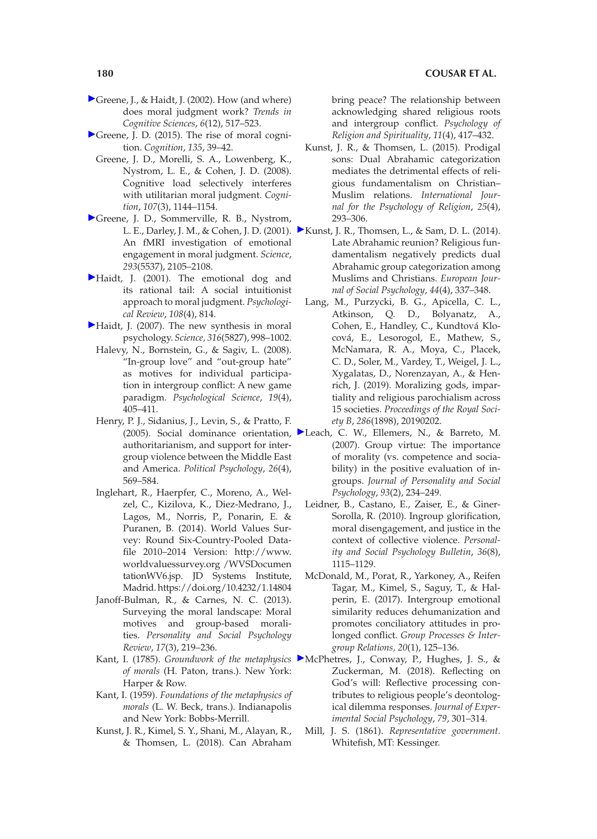- [G](https://guilfordjournals.com/action/showLinks?crossref=10.1016%2FS1364-6613%2802%2902011-9&citationId=p_28)reene, J., & Haidt, J. (2002). How (and where) does moral judgment work? *Trends in Cognitive Sciences*, *6*(12), 517–523.
- [G](https://guilfordjournals.com/action/showLinks?crossref=10.1016%2Fj.cognition.2014.11.018&citationId=p_29)reene, J. D. (2015). The rise of moral cognition. *Cognition*, *135*, 39–42.
	- Greene, J. D., Morelli, S. A., Lowenberg, K., Nystrom, L. E., & Cohen, J. D. (2008). Cognitive load selectively interferes with utilitarian moral judgment. *Cognition*, *107*(3), 1144–1154.
- [G](https://guilfordjournals.com/action/showLinks?crossref=10.1126%2Fscience.1062872&citationId=p_31)reene, J. D., Sommerville, R. B., Nystrom, An fMRI investigation of emotional engagement in moral judgment. *Science*, *293*(5537), 2105–2108.
- [H](https://guilfordjournals.com/action/showLinks?crossref=10.1037%2F0033-295X.108.4.814&citationId=p_32)aidt, J. (2001). The emotional dog and its rational tail: A social intuitionist approach to moral judgment. *Psychological Review*, *108*(4), 814.
- [H](https://guilfordjournals.com/action/showLinks?crossref=10.1126%2Fscience.1137651&citationId=p_33)aidt, J. (2007). The new synthesis in moral psychology. *Science, 316*(5827), 998–1002.
	- Halevy, N., Bornstein, G., & Sagiv, L. (2008). "In-group love" and "out-group hate" as motives for individual participation in intergroup conflict: A new game paradigm. *Psychological Science*, *19*(4), 405–411.
	- Henry, P. J., Sidanius, J., Levin, S., & Pratto, F. authoritarianism, and support for intergroup violence between the Middle East and America. *Political Psychology*, *26*(4), 569–584.
	- Inglehart, R., Haerpfer, C., Moreno, A., Welzel, C., Kizilova, K., Diez-Medrano, J., Lagos, M., Norris, P., Ponarin, E. & Puranen, B. (2014). World Values Survey: Round Six-Country-Pooled Datafile 2010–2014 Version: http://www. worldvaluessurvey.org /WVSDocumen tationWV6.jsp. JD Systems Institute, Madrid. https://doi.org/10.4232/1.14804
	- Janoff-Bulman, R., & Carnes, N. C. (2013). Surveying the moral landscape: Moral motives and group-based moralities. *Personality and Social Psychology Review*, *17*(3), 219–236.
	- *of morals* (H. Paton, trans.). New York: Harper & Row.
	- Kant, I. (1959). *Foundations of the metaphysics of morals* (L. W. Beck, trans.). Indianapolis and New York: Bobbs-Merrill.
	- Kunst, J. R., Kimel, S. Y., Shani, M., Alayan, R., & Thomsen, L. (2018). Can Abraham

bring peace? The relationship between acknowledging shared religious roots and intergroup conflict. *Psychology of Religion and Spirituality*, *11*(4), 417–432.

- Kunst, J. R., & Thomsen, L. (2015). Prodigal sons: Dual Abrahamic categorization mediates the detrimental effects of religious fundamentalism on Christian– Muslim relations. *International Journal for the Psychology of Religion*, *25*(4), 293–306.
- L. E., Darley, J. M., & Cohen, J. D. (2001). [K](https://guilfordjournals.com/action/showLinks?crossref=10.1002%2Fejsp.2014&citationId=p_42)unst, J. R., Thomsen, L., & Sam, D. L. (2014). Late Abrahamic reunion? Religious fundamentalism negatively predicts dual Abrahamic group categorization among Muslims and Christians. *European Journal of Social Psychology*, *44*(4), 337–348.
	- Lang, M., Purzycki, B. G., Apicella, C. L., Atkinson, Q. D., Bolyanatz, A., Cohen, E., Handley, C., Kundtová Klocová, E., Lesorogol, E., Mathew, S., McNamara, R. A., Moya, C., Placek, C. D., Soler, M., Vardey, T., Weigel, J. L., Xygalatas, D., Norenzayan, A., & Henrich, J. (2019). Moralizing gods, impartiality and religious parochialism across 15 societies. *Proceedings of the Royal Society B*, *286*(1898), 20190202.
- (2005). Social dominance orientation, [L](https://guilfordjournals.com/action/showLinks?crossref=10.1037%2F0022-3514.93.2.234&citationId=p_44)each, C. W., Ellemers, N., & Barreto, M. (2007). Group virtue: The importance of morality (vs. competence and sociability) in the positive evaluation of ingroups. *Journal of Personality and Social Psychology*, *93*(2), 234–249.
	- Leidner, B., Castano, E., Zaiser, E., & Giner-Sorolla, R. (2010). Ingroup glorification, moral disengagement, and justice in the context of collective violence. *Personality and Social Psychology Bulletin*, *36*(8), 1115–1129.
	- McDonald, M., Porat, R., Yarkoney, A., Reifen Tagar, M., Kimel, S., Saguy, T., & Halperin, E. (2017). Intergroup emotional similarity reduces dehumanization and promotes conciliatory attitudes in prolonged conflict. *Group Processes & Intergroup Relations, 20*(1), 125–136.
- Kant, I. (1785). *Groundwork of the metaphysics*  [M](https://guilfordjournals.com/action/showLinks?crossref=10.1016%2Fj.jesp.2018.08.013&citationId=p_47)cPhetres, J., Conway, P., Hughes, J. S., & Zuckerman, M. (2018). Reflecting on God's will: Reflective processing contributes to religious people's deontological dilemma responses. *Journal of Experimental Social Psychology*, *79*, 301–314.
	- Mill, J. S. (1861). *Representative government.* Whitefish, MT: Kessinger.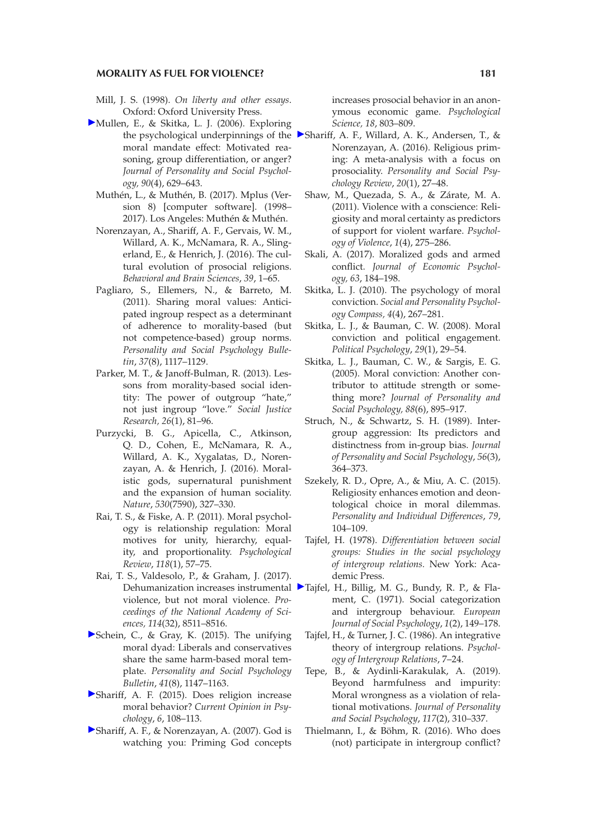- Mill, J. S. (1998). *On liberty and other essays*. Oxford: Oxford University Press.
- [M](https://guilfordjournals.com/action/showLinks?crossref=10.1037%2F0022-3514.90.4.629&citationId=p_50)ullen, E., & Skitka, L. J. (2006). Exploring moral mandate effect: Motivated reasoning, group differentiation, or anger? *Journal of Personality and Social Psychology, 90*(4), 629–643.
	- Muthén, L., & Muthén, B. (2017). Mplus (Version 8) [computer software]. (1998– 2017). Los Angeles: Muthén & Muthén.
	- Norenzayan, A., Shariff, A. F., Gervais, W. M., Willard, A. K., McNamara, R. A., Slingerland, E., & Henrich, J. (2016). The cultural evolution of prosocial religions. *Behavioral and Brain Sciences*, *39*, 1–65.
	- Pagliaro, S., Ellemers, N., & Barreto, M. (2011). Sharing moral values: Anticipated ingroup respect as a determinant of adherence to morality-based (but not competence-based) group norms. *Personality and Social Psychology Bulletin*, *37*(8), 1117–1129.
	- Parker, M. T., & Janoff-Bulman, R. (2013). Lessons from morality-based social identity: The power of outgroup "hate," not just ingroup "love." *Social Justice Research, 26*(1), 81–96.
	- Purzycki, B. G., Apicella, C., Atkinson, Q. D., Cohen, E., McNamara, R. A., Willard, A. K., Xygalatas, D., Norenzayan, A. & Henrich, J. (2016). Moralistic gods, supernatural punishment and the expansion of human sociality. *Nature*, *530*(7590), 327–330.
	- Rai, T. S., & Fiske, A. P. (2011). Moral psychology is relationship regulation: Moral motives for unity, hierarchy, equality, and proportionality. *Psychological Review*, *118*(1), 57–75.
	- Rai, T. S., Valdesolo, P., & Graham, J. (2017). violence, but not moral violence. *Proceedings of the National Academy of Sciences, 114*(32), 8511–8516.
- [S](https://guilfordjournals.com/action/showLinks?crossref=10.1177%2F0146167215591501&citationId=p_58)chein, C., & Gray, K. (2015). The unifying moral dyad: Liberals and conservatives share the same harm-based moral template. *Personality and Social Psychology Bulletin*, *41*(8), 1147–1163.
- [S](https://guilfordjournals.com/action/showLinks?crossref=10.1016%2Fj.copsyc.2015.07.009&citationId=p_59)hariff, A. F. (2015). Does religion increase moral behavior? *Current Opinion in Psychology*, *6*, 108–113.
- [S](https://guilfordjournals.com/action/showLinks?crossref=10.1111%2Fj.1467-9280.2007.01983.x&citationId=p_60)hariff, A. F., & Norenzayan, A. (2007). God is watching you: Priming God concepts

increases prosocial behavior in an anonymous economic game. *Psychological Science, 18*, 803–809.

- the psychological underpinnings of the  $\blacktriangleright$ [S](https://guilfordjournals.com/action/showLinks?crossref=10.1177%2F1088868314568811&citationId=p_61)hariff, A. F., Willard, A. K., Andersen, T., & Norenzayan, A. (2016). Religious priming: A meta-analysis with a focus on prosociality. *Personality and Social Psychology Review*, *20*(1), 27–48.
	- Shaw, M., Quezada, S. A., & Zárate, M. A. (2011). Violence with a conscience: Religiosity and moral certainty as predictors of support for violent warfare. *Psychology of Violence*, *1*(4), 275–286.
	- Skali, A. (2017). Moralized gods and armed conflict. *Journal of Economic Psychology, 63*, 184–198.
	- Skitka, L. J. (2010). The psychology of moral conviction. *Social and Personality Psychology Compass, 4*(4), 267–281.
	- Skitka, L. J., & Bauman, C. W. (2008). Moral conviction and political engagement. *Political Psychology*, *29*(1), 29–54.
	- Skitka, L. J., Bauman, C. W., & Sargis, E. G. (2005). Moral conviction: Another contributor to attitude strength or something more? *Journal of Personality and Social Psychology, 88*(6), 895–917.
	- Struch, N., & Schwartz, S. H. (1989). Intergroup aggression: Its predictors and distinctness from in-group bias. *Journal of Personality and Social Psychology*, *56*(3), 364–373.
	- Szekely, R. D., Opre, A., & Miu, A. C. (2015). Religiosity enhances emotion and deontological choice in moral dilemmas. *Personality and Individual Differences*, *79*, 104–109.
	- Tajfel, H. (1978). *Differentiation between social groups: Studies in the social psychology of intergroup relations.* New York: Academic Press.
- Dehumanization increases instrumental ▶[T](https://guilfordjournals.com/action/showLinks?crossref=10.1002%2Fejsp.2420010202&citationId=p_70)ajfel, H., Billig, M. G., Bundy, R. P., & Flament, C. (1971). Social categorization and intergroup behaviour. *European Journal of Social Psychology*, *1*(2), 149–178.
	- Tajfel, H., & Turner, J. C. (1986). An integrative theory of intergroup relations. *Psychology of Intergroup Relations*, 7–24.
	- Tepe, B., & Aydinli-Karakulak, A. (2019). Beyond harmfulness and impurity: Moral wrongness as a violation of relational motivations. *Journal of Personality and Social Psychology*, *117*(2), 310–337.
	- Thielmann, I., & Böhm, R. (2016). Who does (not) participate in intergroup conflict?